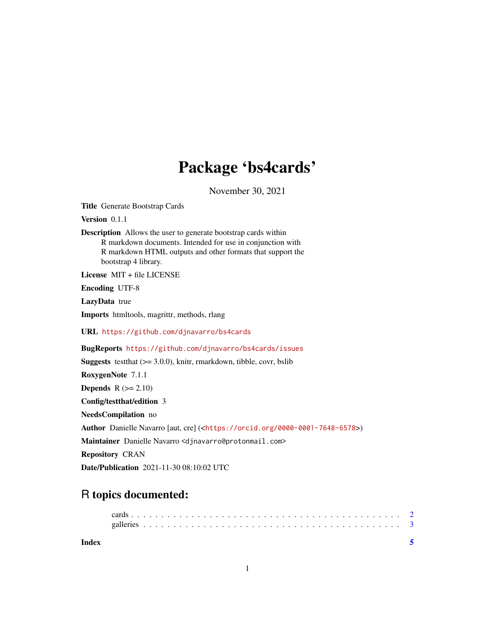## Package 'bs4cards'

November 30, 2021

Title Generate Bootstrap Cards

Version 0.1.1

Description Allows the user to generate bootstrap cards within R markdown documents. Intended for use in conjunction with R markdown HTML outputs and other formats that support the bootstrap 4 library.

License MIT + file LICENSE

Encoding UTF-8

LazyData true

Imports htmltools, magrittr, methods, rlang

URL <https://github.com/djnavarro/bs4cards>

BugReports <https://github.com/djnavarro/bs4cards/issues>

**Suggests** test that  $(>= 3.0.0)$ , knitr, rmarkdown, tibble, covr, bslib RoxygenNote 7.1.1 Depends  $R (= 2.10)$ Config/testthat/edition 3 NeedsCompilation no Author Danielle Navarro [aut, cre] (<<https://orcid.org/0000-0001-7648-6578>>) Maintainer Danielle Navarro <djnavarro@protonmail.com> Repository CRAN Date/Publication 2021-11-30 08:10:02 UTC

### R topics documented:

| Index |  |  |  |  |  |  |  |  |  |  |  |  |  |  |  |  |  |  |  |  |  |  |  |
|-------|--|--|--|--|--|--|--|--|--|--|--|--|--|--|--|--|--|--|--|--|--|--|--|
|       |  |  |  |  |  |  |  |  |  |  |  |  |  |  |  |  |  |  |  |  |  |  |  |
|       |  |  |  |  |  |  |  |  |  |  |  |  |  |  |  |  |  |  |  |  |  |  |  |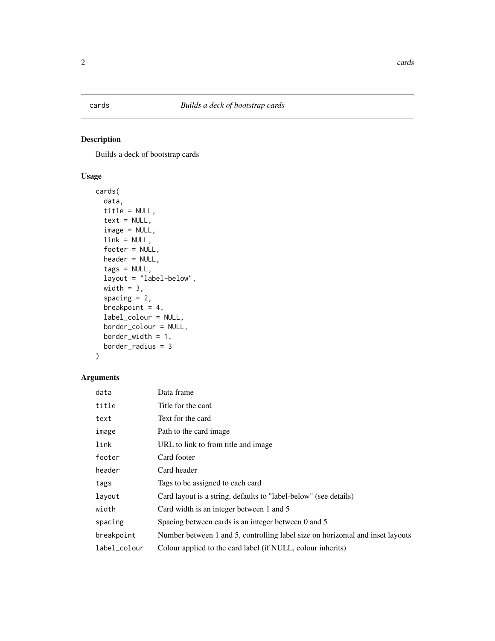<span id="page-1-0"></span>

#### Description

Builds a deck of bootstrap cards

#### Usage

```
cards(
  data,
  title = NULL,
  text = NULL,image = NULL,
  link = NULL,
  footer = NULL,
  header = NULL,
  tags = NULL,
  layout = "label-below",
  width = 3,
  spacing = 2,
  breakpoint = 4,
  label_colour = NULL,
  border_colour = NULL,
  border_width = 1,
  border_radius = 3
)
```
#### Arguments

| data         | Data frame                                                                     |
|--------------|--------------------------------------------------------------------------------|
| title        | Title for the card                                                             |
| text         | Text for the card                                                              |
| image        | Path to the card image.                                                        |
| link         | URL to link to from title and image                                            |
| footer       | Card footer                                                                    |
| header       | Card header                                                                    |
| tags         | Tags to be assigned to each card                                               |
| layout       | Card layout is a string, defaults to "label-below" (see details)               |
| width        | Card width is an integer between 1 and 5                                       |
| spacing      | Spacing between cards is an integer between 0 and 5                            |
| breakpoint   | Number between 1 and 5, controlling label size on horizontal and inset layouts |
| label_colour | Colour applied to the card label (if NULL, colour inherits)                    |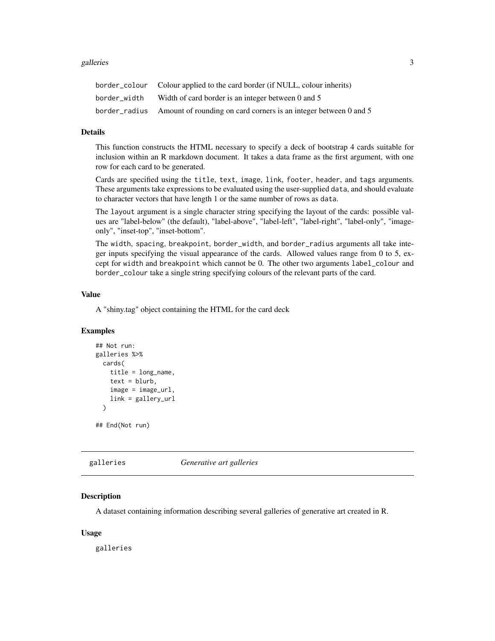#### <span id="page-2-0"></span>galleries 3

|              | border_colour Colour applied to the card border (if NULL, colour inherits)     |
|--------------|--------------------------------------------------------------------------------|
| border width | Width of card border is an integer between 0 and 5                             |
|              | border_radius Amount of rounding on card corners is an integer between 0 and 5 |

#### Details

This function constructs the HTML necessary to specify a deck of bootstrap 4 cards suitable for inclusion within an R markdown document. It takes a data frame as the first argument, with one row for each card to be generated.

Cards are specified using the title, text, image, link, footer, header, and tags arguments. These arguments take expressions to be evaluated using the user-supplied data, and should evaluate to character vectors that have length 1 or the same number of rows as data.

The layout argument is a single character string specifying the layout of the cards: possible values are "label-below" (the default), "label-above", "label-left", "label-right", "label-only", "imageonly", "inset-top", "inset-bottom".

The width, spacing, breakpoint, border\_width, and border\_radius arguments all take integer inputs specifying the visual appearance of the cards. Allowed values range from 0 to 5, except for width and breakpoint which cannot be 0. The other two arguments label\_colour and border\_colour take a single string specifying colours of the relevant parts of the card.

#### Value

A "shiny.tag" object containing the HTML for the card deck

#### Examples

```
## Not run:
galleries %>%
 cards(
   title = long_name,
    text = blurb,image = image_url,
   link = gallery_url
 )
## End(Not run)
```
galleries *Generative art galleries*

#### Description

A dataset containing information describing several galleries of generative art created in R.

#### Usage

galleries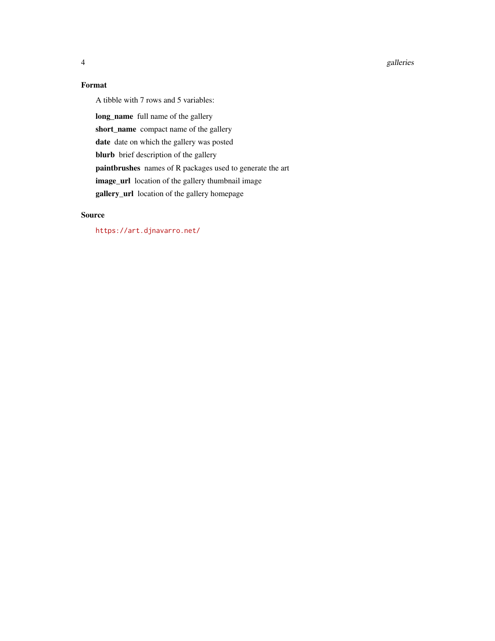#### 4 galleries

#### Format

A tibble with 7 rows and 5 variables:

long\_name full name of the gallery short\_name compact name of the gallery date date on which the gallery was posted blurb brief description of the gallery paintbrushes names of R packages used to generate the art image\_url location of the gallery thumbnail image gallery\_url location of the gallery homepage

#### Source

<https://art.djnavarro.net/>